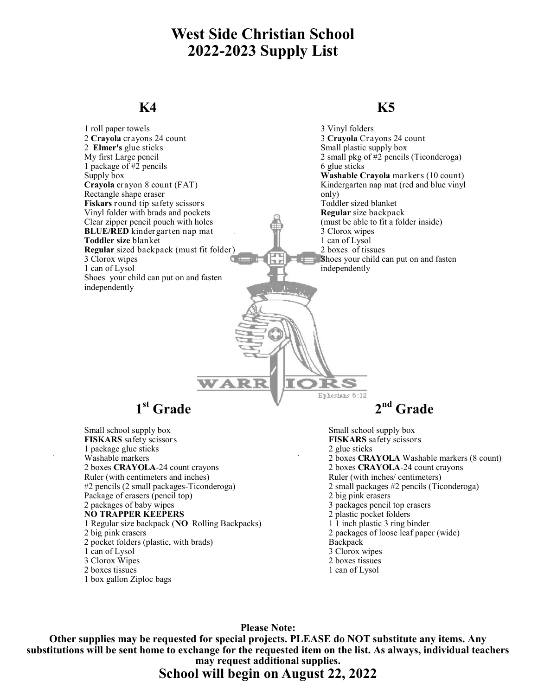# **West Side Christian School 2022-2023 Supply List**

#### **K4**

#### **K5**

| 1 roll paper towels                            | 3 Vinyl folders                            |
|------------------------------------------------|--------------------------------------------|
| 2 Crayola crayons 24 count                     | 3 Crayola Crayons 24 count                 |
| 2 Elmer's glue sticks                          | Small plastic supply box                   |
| My first Large pencil                          | 2 small pkg of #2 pencils (Ticonderoga)    |
| 1 package of #2 pencils                        | 6 glue sticks                              |
| Supply box                                     | Washable Crayola markers (10 count)        |
| Crayola crayon 8 count (FAT)                   | Kindergarten nap mat (red and blue vinyl   |
| Rectangle shape eraser                         | only)                                      |
| Fiskars round tip safety scissors              | Toddler sized blanket                      |
| Vinyl folder with brads and pockets            | Regular size backpack                      |
| Clear zipper pencil pouch with holes           | (must be able to fit a folder inside)      |
| BLUE/RED kindergarten nap mat                  | 3 Clorox wipes                             |
| Toddler size blanket                           | 1 can of Lysol                             |
| Regular sized backpack (must fit folder)       | 2 boxes of tissues                         |
| 3 Clorox wipes                                 | Shoes your child can put on and fasten     |
| 1 can of Lysol                                 | independently                              |
| Shoes your child can put on and fasten         |                                            |
| independently                                  |                                            |
|                                                |                                            |
|                                                |                                            |
|                                                |                                            |
|                                                |                                            |
|                                                |                                            |
|                                                |                                            |
|                                                |                                            |
|                                                |                                            |
|                                                |                                            |
| WARR                                           |                                            |
|                                                |                                            |
| Ephesians 6:12                                 |                                            |
| 1 <sup>st</sup> Grade                          | $2nd$ Grade                                |
|                                                |                                            |
| Small school supply box                        | Small school supply box                    |
| FISKARS safety scissors                        | FISKARS safety scissors                    |
| 1 package glue sticks                          | 2 glue sticks                              |
| Washable markers                               | 2 boxes CRAYOLA Washable markers (8 count) |
| 2 boxes CRAYOLA-24 count crayons               | 2 boxes CRAYOLA-24 count crayons           |
| Ruler (with centimeters and inches)            | Ruler (with inches/ centimeters)           |
| #2 pencils (2 small packages-Ticonderoga)      | 2 small packages #2 pencils (Ticonderoga)  |
| Package of erasers (pencil top)                | 2 big pink erasers                         |
| 2 packages of baby wipes                       | 3 packages pencil top erasers              |
| <b>NO TRAPPER KEEPERS</b>                      | 2 plastic pocket folders                   |
| 1 Regular size backpack (NO Rolling Backpacks) | 1 1 inch plastic 3 ring binder             |
| 2 big pink erasers                             | 2 packages of loose leaf paper (wide)      |
| 2 pocket folders (plastic, with brads)         | Backpack                                   |
| 1 can of Lysol                                 | 3 Clorox wipes                             |
| 3 Clorox Wipes                                 | 2 boxes tissues                            |
|                                                |                                            |

- 2 boxes tissues
- 1 box gallon Ziploc bags

**Please Note:**

1 can of Lysol

**Other supplies may be requested for special projects. PLEASE do NOT substitute any items. Any substitutions will be sent home to exchange for the requested item on the list. As always, individual teachers may request additional supplies.**

### **School will begin on August 22, 2022**